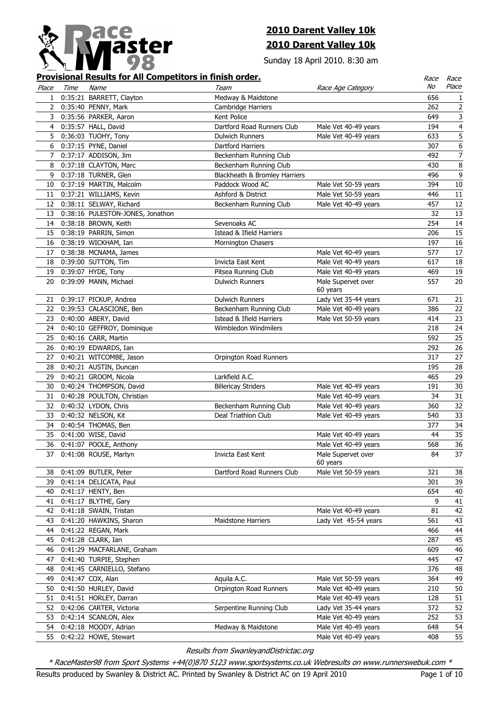

## **2010 Darent Valley 10k 2010 Darent Valley 10k**

Sunday 18 April 2010. 8:30 am

## **Provisional Results for All Competitors in finish order.**

|              |      | <u>Provisional Results for All Competitors in finish order.</u> |                               |                      | Race | <i>Race</i>             |
|--------------|------|-----------------------------------------------------------------|-------------------------------|----------------------|------|-------------------------|
| Place        | Time | Name                                                            | Team                          | Race Age Category    | No   | Place                   |
| 1            |      | 0:35:21 BARRETT, Clayton                                        | Medway & Maidstone            |                      | 656  | 1                       |
| $\mathbf{2}$ |      | 0:35:40 PENNY, Mark                                             | Cambridge Harriers            |                      | 262  | $\overline{2}$          |
| 3            |      | 0:35:56 PARKER, Aaron                                           | Kent Police                   |                      | 649  | 3                       |
| 4            |      | 0:35:57 HALL, David                                             | Dartford Road Runners Club    | Male Vet 40-49 years | 194  | $\overline{\mathbf{4}}$ |
| 5            |      | 0:36:03 TUOHY, Tony                                             | <b>Dulwich Runners</b>        | Male Vet 40-49 years | 633  | 5                       |
| 6            |      | 0:37:15 PYNE, Daniel                                            | Dartford Harriers             |                      | 307  | $\boldsymbol{6}$        |
| $7^{\circ}$  |      | 0:37:17 ADDISON, Jim                                            | Beckenham Running Club        |                      | 492  | $\boldsymbol{7}$        |
| 8            |      | 0:37:18 CLAYTON, Marc                                           | Beckenham Running Club        |                      | 430  | 8                       |
| 9            |      | 0:37:18 TURNER, Glen                                            | Blackheath & Bromley Harriers |                      | 496  | $\overline{9}$          |
| 10           |      | 0:37:19 MARTIN, Malcolm                                         | Paddock Wood AC               | Male Vet 50-59 years | 394  | $10\,$                  |
| 11           |      | 0:37:21 WILLIAMS, Kevin                                         | Ashford & District            | Male Vet 50-59 years | 446  | $11\,$                  |
| 12           |      | 0:38:11 SELWAY, Richard                                         | Beckenham Running Club        | Male Vet 40-49 years | 457  | 12                      |
| 13           |      | 0:38:16 PULESTON-JONES, Jonathon                                |                               |                      | 32   | 13                      |
| 14           |      | 0:38:18 BROWN, Keith                                            | Sevenoaks AC                  |                      | 254  | 14                      |
| 15           |      | 0:38:19 PARRIN, Simon                                           | Istead & Ifield Harriers      |                      | 206  | 15                      |
|              |      | 16 0:38:19 WICKHAM, Ian                                         | <b>Mornington Chasers</b>     |                      | 197  | $16\,$                  |
| 17           |      | 0:38:38 MCNAMA, James                                           |                               | Male Vet 40-49 years | 577  | $17\,$                  |
|              |      | 18 0:39:00 SUTTON, Tim                                          | Invicta East Kent             | Male Vet 40-49 years | 617  | 18                      |
|              |      | 19 0:39:07 HYDE, Tony                                           | Pitsea Running Club           | Male Vet 40-49 years | 469  | 19                      |
|              |      | 20 0:39:09 MANN, Michael                                        | <b>Dulwich Runners</b>        | Male Supervet over   | 557  | 20                      |
|              |      |                                                                 |                               | 60 years             |      |                         |
|              |      | 21 0:39:17 PICKUP, Andrea                                       | <b>Dulwich Runners</b>        | Lady Vet 35-44 years | 671  | 21                      |
| 22           |      | 0:39:53 CALASCIONE, Ben                                         | Beckenham Running Club        | Male Vet 40-49 years | 386  | 22                      |
| 23           |      | 0:40:00 ABERY, David                                            | Istead & Ifield Harriers      | Male Vet 50-59 years | 414  | 23                      |
| 24           |      | 0:40:10 GEFFROY, Dominique                                      | Wimbledon Windmilers          |                      | 218  | 24                      |
| 25           |      | 0:40:16 CARR, Martin                                            |                               |                      | 592  | 25                      |
|              |      | 26 0:40:19 EDWARDS, Ian                                         |                               |                      | 292  | 26                      |
| 27           |      | 0:40:21 WITCOMBE, Jason                                         | Orpington Road Runners        |                      | 317  | 27                      |
| 28           |      | 0:40:21 AUSTIN, Duncan                                          |                               |                      | 195  | 28                      |
| 29           |      | 0:40:21 GROOM, Nicola                                           | Larkfield A.C.                |                      | 465  | 29                      |
| 30           |      | 0:40:24 THOMPSON, David                                         | <b>Billericay Striders</b>    | Male Vet 40-49 years | 191  | 30                      |
| 31           |      | 0:40:28 POULTON, Christian                                      |                               | Male Vet 40-49 years | 34   | 31                      |
| 32           |      | 0:40:32 LYDON, Chris                                            | Beckenham Running Club        | Male Vet 40-49 years | 360  | 32                      |
| 33           |      | 0:40:32 NELSON, Kit                                             | Deal Triathlon Club           | Male Vet 40-49 years | 540  | 33                      |
| 34           |      | 0:40:54 THOMAS, Ben                                             |                               |                      | 377  | 34                      |
| 35           |      | 0:41:00 WISE, David                                             |                               | Male Vet 40-49 years | 44   | 35                      |
| 36           |      | 0:41:07 POOLE, Anthony                                          |                               | Male Vet 40-49 years | 568  | 36                      |
|              |      | 0:41:08 ROUSE, Martyn                                           | Invicta East Kent             | Male Supervet over   | 84   | 37                      |
|              |      |                                                                 |                               | 60 years             |      |                         |
| 38           |      | 0:41:09 BUTLER, Peter                                           | Dartford Road Runners Club    | Male Vet 50-59 years | 321  | 38                      |
| 39           |      | 0:41:14 DELICATA, Paul                                          |                               |                      | 301  | 39                      |
| 40           |      | 0:41:17 HENTY, Ben                                              |                               |                      | 654  | 40                      |
| 41           |      | 0:41:17 BLYTHE, Gary                                            |                               |                      | 9    | 41                      |
| 42           |      | 0:41:18 SWAIN, Tristan                                          |                               | Male Vet 40-49 years | 81   | 42                      |
| 43           |      | 0:41:20 HAWKINS, Sharon                                         | <b>Maidstone Harriers</b>     | Lady Vet 45-54 years | 561  | 43                      |
| 44           |      | 0:41:22 REGAN, Mark                                             |                               |                      | 466  | 44                      |
| 45           |      | 0:41:28 CLARK, Ian                                              |                               |                      | 287  | 45                      |
| 46           |      | 0:41:29 MACFARLANE, Graham                                      |                               |                      | 609  | 46                      |
| 47           |      | 0:41:40 TURPIE, Stephen                                         |                               |                      | 445  | 47                      |
| 48           |      | 0:41:45 CARNIELLO, Stefano                                      |                               |                      | 376  | 48                      |
| 49           |      | 0:41:47 COX, Alan                                               | Aquila A.C.                   | Male Vet 50-59 years | 364  | 49                      |
| 50           |      | 0:41:50 HURLEY, David                                           | Orpington Road Runners        | Male Vet 40-49 years | 210  | 50                      |
|              |      |                                                                 |                               |                      | 128  |                         |
| 51           |      | 0:41:51 HORLEY, Darran                                          |                               | Male Vet 40-49 years | 372  | 51                      |
| 52           |      | 0:42:06 CARTER, Victoria                                        | Serpentine Running Club       | Lady Vet 35-44 years |      | 52                      |
| 53           |      | 0:42:14 SCANLON, Alex                                           |                               | Male Vet 40-49 years | 252  | 53                      |
| 54           |      | 0:42:18 MOODY, Adrian                                           | Medway & Maidstone            | Male Vet 40-49 years | 648  | 54                      |
| 55           |      | 0:42:22 HOWE, Stewart                                           |                               | Male Vet 40-49 years | 408  | 55                      |

Results from SwanleyandDistrictac.org

\* RaceMaster98 from Sport Systems +44(0)870 5123 www.sportsystems.co.uk Webresults on www.runnerswebuk.com \*

Results produced by Swanley & District AC. Printed by Swanley & District AC on 19 April 2010 Page 1 of 10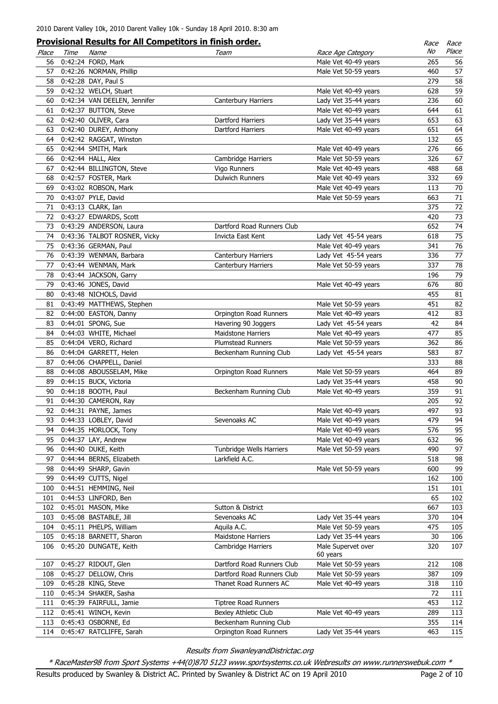|       |      | <b>Provisional Results for All Competitors in finish order.</b> |                                                  |                                | Race | Race   |
|-------|------|-----------------------------------------------------------------|--------------------------------------------------|--------------------------------|------|--------|
| Place | Time | Name                                                            | Team                                             | Race Age Category              | No   | Place  |
| 56    |      | 0:42:24 FORD, Mark                                              |                                                  | Male Vet 40-49 years           | 265  | 56     |
| 57    |      | 0:42:26 NORMAN, Phillip                                         |                                                  | Male Vet 50-59 years           | 460  | 57     |
| 58    |      | 0:42:28 DAY, Paul S                                             |                                                  |                                | 279  | 58     |
| 59    |      | 0:42:32 WELCH, Stuart                                           |                                                  | Male Vet 40-49 years           | 628  | 59     |
| 60    |      | 0:42:34 VAN DEELEN, Jennifer                                    | <b>Canterbury Harriers</b>                       | Lady Vet 35-44 years           | 236  | 60     |
| 61    |      | 0:42:37 BUTTON, Steve                                           |                                                  | Male Vet 40-49 years           | 644  | 61     |
| 62    |      | 0:42:40 OLIVER, Cara                                            | Dartford Harriers                                | Lady Vet 35-44 years           | 653  | 63     |
| 63    |      | 0:42:40 DUREY, Anthony                                          | Dartford Harriers                                | Male Vet 40-49 years           | 651  | 64     |
| 64    |      | 0:42:42 RAGGAT, Winston                                         |                                                  |                                | 132  | 65     |
| 65    |      | 0:42:44 SMITH, Mark                                             |                                                  | Male Vet 40-49 years           | 276  | 66     |
| 66    |      | 0:42:44 HALL, Alex                                              | Cambridge Harriers                               | Male Vet 50-59 years           | 326  | 67     |
| 67    |      | 0:42:44 BILLINGTON, Steve                                       | Vigo Runners                                     | Male Vet 40-49 years           | 488  | 68     |
| 68    |      | 0:42:57 FOSTER, Mark                                            | <b>Dulwich Runners</b>                           | Male Vet 40-49 years           | 332  | 69     |
| 69    |      | 0:43:02 ROBSON, Mark                                            |                                                  | Male Vet 40-49 years           | 113  | 70     |
| 70    |      | 0:43:07 PYLE, David                                             |                                                  | Male Vet 50-59 years           | 663  | 71     |
| 71    |      | 0:43:13 CLARK, Ian                                              |                                                  |                                | 375  | 72     |
| 72    |      | 0:43:27 EDWARDS, Scott                                          |                                                  |                                | 420  | 73     |
| 73    |      | 0:43:29 ANDERSON, Laura                                         | Dartford Road Runners Club                       |                                | 652  | 74     |
| 74    |      | 0:43:36 TALBOT ROSNER, Vicky                                    | Invicta East Kent                                | Lady Vet 45-54 years           | 618  | 75     |
| 75    |      | 0:43:36 GERMAN, Paul                                            |                                                  | Male Vet 40-49 years           | 341  | 76     |
|       |      | 76 0:43:39 WENMAN, Barbara                                      | Canterbury Harriers                              | Lady Vet 45-54 years           | 336  | 77     |
| 77    |      | 0:43:44 WENMAN, Mark                                            | <b>Canterbury Harriers</b>                       | Male Vet 50-59 years           | 337  | 78     |
| 78    |      | 0:43:44 JACKSON, Garry                                          |                                                  |                                | 196  | 79     |
|       |      | 79 0:43:46 JONES, David                                         |                                                  | Male Vet 40-49 years           | 676  | $80\,$ |
|       |      | 80 0:43:48 NICHOLS, David                                       |                                                  |                                | 455  | 81     |
|       |      | 81 0:43:49 MATTHEWS, Stephen                                    |                                                  | Male Vet 50-59 years           | 451  | 82     |
| 82    |      | 0:44:00 EASTON, Danny                                           | Orpington Road Runners                           | Male Vet 40-49 years           | 412  | 83     |
| 83    |      | 0:44:01 SPONG, Sue                                              |                                                  |                                | 42   | 84     |
| 84    |      | 0:44:03 WHITE, Michael                                          | Havering 90 Joggers<br><b>Maidstone Harriers</b> | Lady Vet 45-54 years           | 477  | 85     |
|       |      |                                                                 |                                                  | Male Vet 40-49 years           |      |        |
| 85    |      | 0:44:04 VERO, Richard                                           | <b>Plumstead Runners</b>                         | Male Vet 50-59 years           | 362  | 86     |
| 86    |      | 0:44:04 GARRETT, Helen                                          | Beckenham Running Club                           | Lady Vet 45-54 years           | 583  | 87     |
| 87    |      | 0:44:06 CHAPPELL, Daniel                                        |                                                  |                                | 333  | 88     |
| 88    |      | 0:44:08 ABOUSSELAM, Mike                                        | Orpington Road Runners                           | Male Vet 50-59 years           | 464  | 89     |
| 89    |      | 0:44:15 BUCK, Victoria                                          |                                                  | Lady Vet 35-44 years           | 458  | $90\,$ |
| 90    |      | 0:44:18 BOOTH, Paul                                             | Beckenham Running Club                           | Male Vet 40-49 years           | 359  | 91     |
| 91    |      | 0:44:30 CAMERON, Ray                                            |                                                  |                                | 205  | 92     |
| 92    |      | 0:44:31 PAYNE, James                                            |                                                  | Male Vet 40-49 years           | 497  | 93     |
| 93    |      | 0:44:33 LOBLEY, David                                           | Sevenoaks AC                                     | Male Vet 40-49 years           | 479  | 94     |
| 94    |      | 0:44:35 HORLOCK, Tony                                           |                                                  | Male Vet 40-49 years           | 576  | 95     |
|       |      | 95 0:44:37 LAY, Andrew                                          |                                                  | Male Vet 40-49 years           | 632  | 96     |
| 96    |      | 0:44:40 DUKE, Keith                                             | Tunbridge Wells Harriers                         | Male Vet 50-59 years           | 490  | 97     |
| 97    |      | 0:44:44 BERNS, Elizabeth                                        | Larkfield A.C.                                   |                                | 518  | 98     |
| 98    |      | 0:44:49 SHARP, Gavin                                            |                                                  | Male Vet 50-59 years           | 600  | 99     |
| 99    |      | 0:44:49 CUTTS, Nigel                                            |                                                  |                                | 162  | 100    |
| 100   |      | 0:44:51 HEMMING, Neil                                           |                                                  |                                | 151  | 101    |
| 101   |      | 0:44:53 LINFORD, Ben                                            |                                                  |                                | 65   | 102    |
| 102   |      | 0:45:01 MASON, Mike                                             | Sutton & District                                |                                | 667  | 103    |
| 103   |      | 0:45:08 BASTABLE, Jill                                          | Sevenoaks AC                                     | Lady Vet 35-44 years           | 370  | 104    |
| 104   |      | 0:45:11 PHELPS, William                                         | Aquila A.C.                                      | Male Vet 50-59 years           | 475  | 105    |
| 105   |      | 0:45:18 BARNETT, Sharon                                         | Maidstone Harriers                               | Lady Vet 35-44 years           | 30   | 106    |
| 106   |      | 0:45:20 DUNGATE, Keith                                          | Cambridge Harriers                               | Male Supervet over<br>60 years | 320  | 107    |
| 107   |      | 0:45:27 RIDOUT, Glen                                            | Dartford Road Runners Club                       | Male Vet 50-59 years           | 212  | 108    |
| 108   |      | 0:45:27 DELLOW, Chris                                           | Dartford Road Runners Club                       | Male Vet 50-59 years           | 387  | 109    |
| 109   |      | 0:45:28 KING, Steve                                             | Thanet Road Runners AC                           | Male Vet 40-49 years           | 318  | 110    |
| 110   |      | 0:45:34 SHAKER, Sasha                                           |                                                  |                                | 72   | 111    |
| 111   |      | 0:45:39 FAIRFULL, Jamie                                         | <b>Tiptree Road Runners</b>                      |                                | 453  | 112    |
| 112   |      | 0:45:41 WINCH, Kevin                                            | Bexley Athletic Club                             | Male Vet 40-49 years           | 289  | 113    |
| 113   |      | 0:45:43 OSBORNE, Ed                                             | Beckenham Running Club                           |                                | 355  | 114    |
| 114   |      | 0:45:47 RATCLIFFE, Sarah                                        | Orpington Road Runners                           | Lady Vet 35-44 years           | 463  | 115    |

\* RaceMaster98 from Sport Systems +44(0)870 5123 www.sportsystems.co.uk Webresults on www.runnerswebuk.com \*

Results produced by Swanley & District AC. Printed by Swanley & District AC on 19 April 2010 Page 2 of 10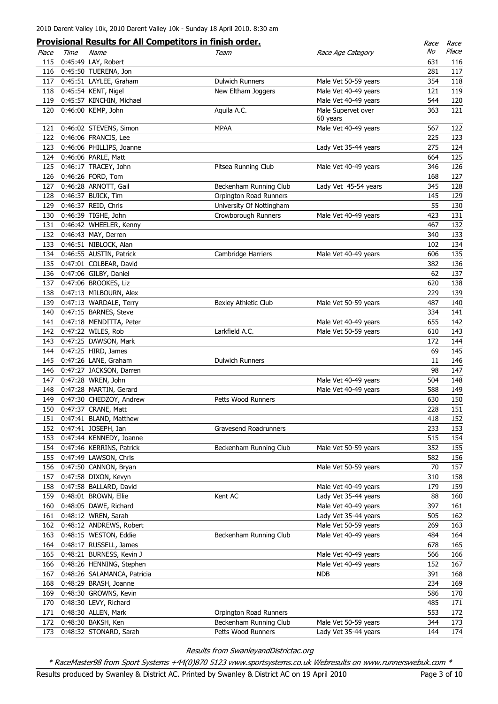|       |      | <b>Provisional Results for All Competitors in finish order.</b> |                          |                                | Race | Race  |
|-------|------|-----------------------------------------------------------------|--------------------------|--------------------------------|------|-------|
| Place | Time | Name                                                            | Team                     | Race Age Category              | No   | Place |
| 115   |      | 0:45:49 LAY, Robert                                             |                          |                                | 631  | 116   |
| 116   |      | 0:45:50 TUERENA, Jon                                            |                          |                                | 281  | 117   |
| 117   |      | 0:45:51 LAYLEE, Graham                                          | <b>Dulwich Runners</b>   | Male Vet 50-59 years           | 354  | 118   |
| 118   |      | 0:45:54 KENT, Nigel                                             | New Eltham Joggers       | Male Vet 40-49 years           | 121  | 119   |
| 119   |      | 0:45:57 KINCHIN, Michael                                        |                          | Male Vet 40-49 years           | 544  | 120   |
| 120   |      | 0:46:00 KEMP, John                                              | Aquila A.C.              | Male Supervet over<br>60 years | 363  | 121   |
| 121   |      | 0:46:02 STEVENS, Simon                                          | <b>MPAA</b>              | Male Vet 40-49 years           | 567  | 122   |
| 122   |      | 0:46:06 FRANCIS, Lee                                            |                          |                                | 225  | 123   |
| 123   |      | 0:46:06 PHILLIPS, Joanne                                        |                          | Lady Vet 35-44 years           | 275  | 124   |
| 124   |      | 0:46:06 PARLE, Matt                                             |                          |                                | 664  | 125   |
| 125   |      | 0:46:17 TRACEY, John                                            | Pitsea Running Club      | Male Vet 40-49 years           | 346  | 126   |
| 126   |      | 0:46:26 FORD, Tom                                               |                          |                                | 168  | 127   |
| 127   |      | 0:46:28 ARNOTT, Gail                                            | Beckenham Running Club   | Lady Vet 45-54 years           | 345  | 128   |
| 128   |      | 0:46:37 BUICK, Tim                                              | Orpington Road Runners   |                                | 145  | 129   |
| 129   |      | 0:46:37 REID, Chris                                             | University Of Nottingham |                                | 55   | 130   |
| 130   |      | 0:46:39 TIGHE, John                                             | Crowborough Runners      | Male Vet 40-49 years           | 423  | 131   |
| 131   |      | 0:46:42 WHEELER, Kenny                                          |                          |                                | 467  | 132   |
| 132   |      | 0:46:43 MAY, Derren                                             |                          |                                | 340  | 133   |
| 133   |      | 0:46:51 NIBLOCK, Alan                                           |                          |                                | 102  | 134   |
| 134   |      | 0:46:55 AUSTIN, Patrick                                         | Cambridge Harriers       | Male Vet 40-49 years           | 606  | 135   |
| 135   |      | 0:47:01 COLBEAR, David                                          |                          |                                | 382  | 136   |
| 136   |      | 0:47:06 GILBY, Daniel                                           |                          |                                | 62   | 137   |
| 137   |      | 0:47:06 BROOKES, Liz                                            |                          |                                | 620  | 138   |
| 138   |      | 0:47:13 MILBOURN, Alex                                          |                          |                                | 229  | 139   |
| 139   |      | 0:47:13 WARDALE, Terry                                          | Bexley Athletic Club     | Male Vet 50-59 years           | 487  | 140   |
| 140   |      | 0:47:15 BARNES, Steve                                           |                          |                                | 334  | 141   |
| 141   |      | 0:47:18 MENDITTA, Peter                                         |                          | Male Vet 40-49 years           | 655  | 142   |
| 142   |      | 0:47:22 WILES, Rob                                              | Larkfield A.C.           | Male Vet 50-59 years           | 610  | 143   |
| 143   |      | 0:47:25 DAWSON, Mark                                            |                          |                                | 172  | 144   |
| 144   |      | 0:47:25 HIRD, James                                             |                          |                                | 69   | 145   |
| 145   |      | 0:47:26 LANE, Graham                                            | <b>Dulwich Runners</b>   |                                | 11   | 146   |
| 146   |      | 0:47:27 JACKSON, Darren                                         |                          |                                | 98   | 147   |
| 147   |      | 0:47:28 WREN, John                                              |                          | Male Vet 40-49 years           | 504  | 148   |
| 148   |      | 0:47:28 MARTIN, Gerard                                          |                          | Male Vet 40-49 years           | 588  | 149   |
| 149   |      | 0:47:30 CHEDZOY, Andrew                                         | Petts Wood Runners       |                                | 630  | 150   |
| 150   |      | 0:47:37 CRANE, Matt                                             |                          |                                | 228  | 151   |
| 151   |      | 0:47:41 BLAND, Matthew                                          |                          |                                | 418  | 152   |
| 152   |      | 0:47:41 JOSEPH, Ian                                             | Gravesend Roadrunners    |                                | 233  | 153   |
| 153   |      | 0:47:44 KENNEDY, Joanne                                         |                          |                                | 515  | 154   |
| 154   |      | 0:47:46 KERRINS, Patrick                                        | Beckenham Running Club   | Male Vet 50-59 years           | 352  | 155   |
| 155   |      | 0:47:49 LAWSON, Chris                                           |                          |                                | 582  | 156   |
| 156   |      | 0:47:50 CANNON, Bryan                                           |                          | Male Vet 50-59 years           | 70   | 157   |
| 157   |      | 0:47:58 DIXON, Kevyn                                            |                          |                                | 310  | 158   |
| 158   |      | 0:47:58 BALLARD, David                                          |                          | Male Vet 40-49 years           | 179  | 159   |
| 159   |      | 0:48:01 BROWN, Ellie                                            | Kent AC                  | Lady Vet 35-44 years           | 88   | 160   |
| 160   |      | 0:48:05 DAWE, Richard                                           |                          | Male Vet 40-49 years           | 397  | 161   |
| 161   |      | 0:48:12 WREN, Sarah                                             |                          | Lady Vet 35-44 years           | 505  | 162   |
| 162   |      | 0:48:12 ANDREWS, Robert                                         |                          | Male Vet 50-59 years           | 269  | 163   |
| 163   |      | 0:48:15 WESTON, Eddie                                           | Beckenham Running Club   | Male Vet 40-49 years           | 484  | 164   |
| 164   |      | 0:48:17 RUSSELL, James                                          |                          |                                | 678  | 165   |
| 165   |      | 0:48:21 BURNESS, Kevin J                                        |                          | Male Vet 40-49 years           | 566  | 166   |
| 166   |      | 0:48:26 HENNING, Stephen                                        |                          | Male Vet 40-49 years           | 152  | 167   |
| 167   |      | 0:48:26 SALAMANCA, Patricia                                     |                          | <b>NDB</b>                     | 391  | 168   |
| 168   |      | 0:48:29 BRASH, Joanne                                           |                          |                                | 234  | 169   |
| 169   |      | 0:48:30 GROWNS, Kevin                                           |                          |                                | 586  | 170   |
| 170   |      | 0:48:30 LEVY, Richard                                           |                          |                                | 485  | 171   |
| 171   |      | 0:48:30 ALLEN, Mark                                             | Orpington Road Runners   |                                | 553  | 172   |
| 172   |      | 0:48:30 BAKSH, Ken                                              | Beckenham Running Club   | Male Vet 50-59 years           | 344  | 173   |
| 173   |      | 0:48:32 STONARD, Sarah                                          | Petts Wood Runners       | Lady Vet 35-44 years           | 144  | 174   |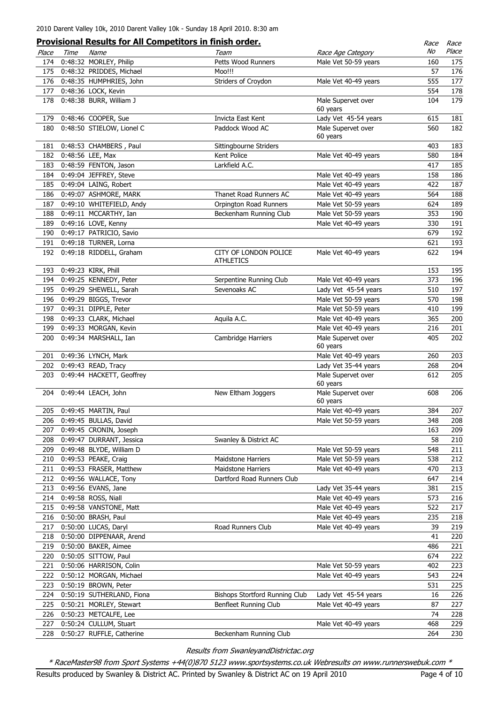|       |      |                           | <b>Provisional Results for All Competitors in finish order.</b> |                      | Race | Race  |
|-------|------|---------------------------|-----------------------------------------------------------------|----------------------|------|-------|
| Place | Time | Name                      | Team                                                            | Race Age Category    | No   | Place |
| 174   |      | 0:48:32 MORLEY, Philip    | Petts Wood Runners                                              | Male Vet 50-59 years | 160  | 175   |
| 175   |      | 0:48:32 PRIDDES, Michael  | Moo!!!                                                          |                      | 57   | 176   |
| 176   |      | 0:48:35 HUMPHRIES, John   | Striders of Croydon                                             | Male Vet 40-49 years | 555  | 177   |
| 177   |      | 0:48:36 LOCK, Kevin       |                                                                 |                      | 554  | 178   |
| 178   |      | 0:48:38 BURR, William J   |                                                                 | Male Supervet over   | 104  | 179   |
|       |      |                           |                                                                 | 60 years             |      |       |
| 179   |      | 0:48:46 COOPER, Sue       | Invicta East Kent                                               | Lady Vet 45-54 years | 615  | 181   |
| 180   |      | 0:48:50 STIELOW, Lionel C | Paddock Wood AC                                                 | Male Supervet over   | 560  | 182   |
|       |      |                           |                                                                 | 60 years             |      |       |
| 181   |      | 0:48:53 CHAMBERS, Paul    | Sittingbourne Striders                                          |                      | 403  | 183   |
| 182   |      | 0:48:56 LEE, Max          | Kent Police                                                     | Male Vet 40-49 years | 580  | 184   |
| 183   |      | 0:48:59 FENTON, Jason     | Larkfield A.C.                                                  |                      | 417  | 185   |
| 184   |      | 0:49:04 JEFFREY, Steve    |                                                                 | Male Vet 40-49 years | 158  | 186   |
| 185   |      | 0:49:04 LAING, Robert     |                                                                 | Male Vet 40-49 years | 422  | 187   |
| 186   |      | 0:49:07 ASHMORE, MARK     | Thanet Road Runners AC                                          | Male Vet 40-49 years | 564  | 188   |
| 187   |      | 0:49:10 WHITEFIELD, Andy  | Orpington Road Runners                                          | Male Vet 50-59 years | 624  | 189   |
| 188   |      | 0:49:11 MCCARTHY, Ian     | Beckenham Running Club                                          | Male Vet 50-59 years | 353  | 190   |
| 189   |      | 0:49:16 LOVE, Kenny       |                                                                 | Male Vet 40-49 years | 330  | 191   |
| 190   |      | 0:49:17 PATRICIO, Savio   |                                                                 |                      | 679  | 192   |
| 191   |      | 0:49:18 TURNER, Lorna     |                                                                 |                      | 621  | 193   |
| 192   |      | 0:49:18 RIDDELL, Graham   | CITY OF LONDON POLICE                                           | Male Vet 40-49 years | 622  | 194   |
|       |      |                           | <b>ATHLETICS</b>                                                |                      |      |       |
| 193   |      | 0:49:23 KIRK, Phill       |                                                                 |                      | 153  | 195   |
| 194   |      | 0:49:25 KENNEDY, Peter    | Serpentine Running Club                                         | Male Vet 40-49 years | 373  | 196   |
| 195   |      | 0:49:29 SHEWELL, Sarah    | Sevenoaks AC                                                    | Lady Vet 45-54 years | 510  | 197   |
| 196   |      | 0:49:29 BIGGS, Trevor     |                                                                 | Male Vet 50-59 years | 570  | 198   |
| 197   |      | 0:49:31 DIPPLE, Peter     |                                                                 | Male Vet 50-59 years | 410  | 199   |
| 198   |      | 0:49:33 CLARK, Michael    | Aquila A.C.                                                     | Male Vet 40-49 years | 365  | 200   |
| 199   |      | 0:49:33 MORGAN, Kevin     |                                                                 | Male Vet 40-49 years | 216  | 201   |
| 200   |      | 0:49:34 MARSHALL, Ian     | Cambridge Harriers                                              | Male Supervet over   | 405  | 202   |
|       |      |                           |                                                                 | 60 years             |      |       |
| 201   |      | 0:49:36 LYNCH, Mark       |                                                                 | Male Vet 40-49 years | 260  | 203   |
| 202   |      | 0:49:43 READ, Tracy       |                                                                 | Lady Vet 35-44 years | 268  | 204   |
| 203   |      | 0:49:44 HACKETT, Geoffrey |                                                                 | Male Supervet over   | 612  | 205   |
|       |      |                           |                                                                 | 60 years             |      |       |
|       |      | 204 0:49:44 LEACH, John   | New Eltham Joggers                                              | Male Supervet over   | 608  | 206   |
|       |      |                           |                                                                 | 60 years             |      |       |
|       |      | 205 0:49:45 MARTIN, Paul  |                                                                 | Male Vet 40-49 years | 384  | 207   |
| 206   |      | 0:49:45 BULLAS, David     |                                                                 | Male Vet 50-59 years | 348  | 208   |
| 207   |      | 0:49:45 CRONIN, Joseph    |                                                                 |                      | 163  | 209   |
| 208   |      | 0:49:47 DURRANT, Jessica  | Swanley & District AC                                           |                      | 58   | 210   |
| 209   |      | 0:49:48 BLYDE, William D  |                                                                 | Male Vet 50-59 years | 548  | 211   |
| 210   |      | 0:49:53 PEAKE, Craig      | Maidstone Harriers                                              | Male Vet 50-59 years | 538  | 212   |
| 211   |      | 0:49:53 FRASER, Matthew   | Maidstone Harriers                                              | Male Vet 40-49 years | 470  | 213   |
| 212   |      | 0:49:56 WALLACE, Tony     | Dartford Road Runners Club                                      |                      | 647  | 214   |
| 213   |      | 0:49:56 EVANS, Jane       |                                                                 | Lady Vet 35-44 years | 381  | 215   |
| 214   |      | 0:49:58 ROSS, Niall       |                                                                 | Male Vet 40-49 years | 573  | 216   |
| 215   |      | 0:49:58 VANSTONE, Matt    |                                                                 | Male Vet 40-49 years | 522  | 217   |
| 216   |      | 0:50:00 BRASH, Paul       |                                                                 | Male Vet 40-49 years | 235  | 218   |
| 217   |      | 0:50:00 LUCAS, Daryl      | Road Runners Club                                               | Male Vet 40-49 years | 39   | 219   |
| 218   |      | 0:50:00 DIPPENAAR, Arend  |                                                                 |                      | 41   | 220   |
| 219   |      | 0:50:00 BAKER, Aimee      |                                                                 |                      | 486  | 221   |
| 220   |      | 0:50:05 SITTOW, Paul      |                                                                 |                      | 674  | 222   |
| 221   |      | 0:50:06 HARRISON, Colin   |                                                                 | Male Vet 50-59 years | 402  | 223   |
| 222   |      | 0:50:12 MORGAN, Michael   |                                                                 | Male Vet 40-49 years | 543  | 224   |
| 223   |      | 0:50:19 BROWN, Peter      |                                                                 |                      | 531  | 225   |
| 224   |      | 0:50:19 SUTHERLAND, Fiona | Bishops Stortford Running Club                                  | Lady Vet 45-54 years | 16   | 226   |
| 225   |      | 0:50:21 MORLEY, Stewart   | Benfleet Running Club                                           | Male Vet 40-49 years | 87   | 227   |
| 226   |      | 0:50:23 METCALFE, Lee     |                                                                 |                      | 74   | 228   |
| 227   |      | 0:50:24 CULLUM, Stuart    |                                                                 | Male Vet 40-49 years | 468  | 229   |
| 228   |      | 0:50:27 RUFFLE, Catherine | Beckenham Running Club                                          |                      | 264  | 230   |
|       |      |                           |                                                                 |                      |      |       |

\* RaceMaster98 from Sport Systems +44(0)870 5123 www.sportsystems.co.uk Webresults on www.runnerswebuk.com \*

Results produced by Swanley & District AC. Printed by Swanley & District AC on 19 April 2010 Page 4 of 10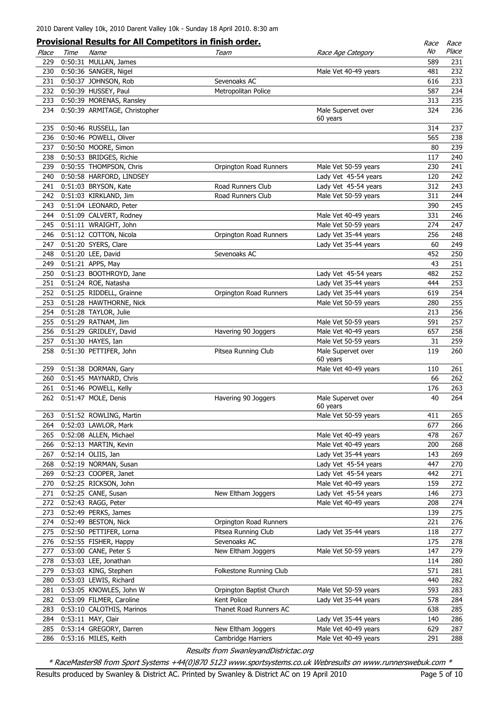|            |      | <b>Provisional Results for All Competitors in finish order.</b> |                          |                      | Race | Race       |
|------------|------|-----------------------------------------------------------------|--------------------------|----------------------|------|------------|
| Place      | Time | Name                                                            | Team                     | Race Age Category    | No   | Place      |
| 229        |      | 0:50:31 MULLAN, James                                           |                          |                      | 589  | 231        |
| 230        |      | 0:50:36 SANGER, Nigel                                           |                          | Male Vet 40-49 years | 481  | 232        |
| 231        |      | 0:50:37 JOHNSON, Rob                                            | Sevenoaks AC             |                      | 616  | 233        |
| 232        |      | 0:50:39 HUSSEY, Paul                                            | Metropolitan Police      |                      | 587  | 234        |
| 233        |      | 0:50:39 MORENAS, Ransley                                        |                          |                      | 313  | 235        |
| 234        |      | 0:50:39 ARMITAGE, Christopher                                   |                          | Male Supervet over   | 324  | 236        |
|            |      |                                                                 |                          | 60 years             |      |            |
| 235        |      | 0:50:46 RUSSELL, Ian                                            |                          |                      | 314  | 237        |
| 236        |      | 0:50:46 POWELL, Oliver                                          |                          |                      | 565  | 238        |
| 237        |      | 0:50:50 MOORE, Simon                                            |                          |                      | 80   | 239        |
| 238        |      | 0:50:53 BRIDGES, Richie                                         |                          |                      | 117  | 240        |
| 239        |      | 0:50:55 THOMPSON, Chris                                         | Orpington Road Runners   | Male Vet 50-59 years | 230  | 241        |
| 240        |      | 0:50:58 HARFORD, LINDSEY                                        |                          | Lady Vet 45-54 years | 120  | 242        |
| 241        |      | 0:51:03 BRYSON, Kate                                            | Road Runners Club        | Lady Vet 45-54 years | 312  | 243        |
| 242        |      | 0:51:03 KIRKLAND, Jim                                           | Road Runners Club        | Male Vet 50-59 years | 311  | 244        |
| 243        |      | 0:51:04 LEONARD, Peter                                          |                          |                      | 390  | 245        |
| 244        |      | 0:51:09 CALVERT, Rodney                                         |                          | Male Vet 40-49 years | 331  | 246        |
| 245        |      | 0:51:11 WRAIGHT, John                                           |                          | Male Vet 50-59 years | 274  | 247        |
| 246        |      | 0:51:12 COTTON, Nicola                                          | Orpington Road Runners   | Lady Vet 35-44 years | 256  | 248        |
| 247        |      | 0:51:20 SYERS, Clare                                            |                          | Lady Vet 35-44 years | 60   | 249        |
| 248        |      | 0:51:20 LEE, David                                              | Sevenoaks AC             |                      | 452  | 250        |
| 249        |      | 0:51:21 APPS, May                                               |                          |                      | 43   | 251        |
| 250        |      | 0:51:23 BOOTHROYD, Jane                                         |                          | Lady Vet 45-54 years | 482  | 252        |
| 251        |      | 0:51:24 ROE, Natasha                                            |                          | Lady Vet 35-44 years | 444  | 253        |
| 252        |      | 0:51:25 RIDDELL, Grainne                                        | Orpington Road Runners   | Lady Vet 35-44 years | 619  | 254        |
| 253        |      | 0:51:28 HAWTHORNE, Nick                                         |                          | Male Vet 50-59 years | 280  | 255        |
| 254        |      | 0:51:28 TAYLOR, Julie                                           |                          |                      | 213  | 256        |
| 255        |      | 0:51:29 RATNAM, Jim                                             |                          | Male Vet 50-59 years | 591  | 257        |
| 256        |      | 0:51:29 GRIDLEY, David                                          | Havering 90 Joggers      | Male Vet 40-49 years | 657  | 258        |
| 257        |      | 0:51:30 HAYES, Ian                                              |                          | Male Vet 50-59 years | 31   | 259        |
| 258        |      | 0:51:30 PETTIFER, John                                          | Pitsea Running Club      | Male Supervet over   | 119  | 260        |
|            |      |                                                                 |                          | 60 years             | 110  |            |
| 259<br>260 |      | 0:51:38 DORMAN, Gary<br>0:51:45 MAYNARD, Chris                  |                          | Male Vet 40-49 years | 66   | 261<br>262 |
| 261        |      | 0:51:46 POWELL, Kelly                                           |                          |                      | 176  | 263        |
| 262        |      | 0:51:47 MOLE, Denis                                             | Havering 90 Joggers      | Male Supervet over   | 40   | 264        |
|            |      |                                                                 |                          | 60 years             |      |            |
| 263        |      | 0:51:52 ROWLING, Martin                                         |                          | Male Vet 50-59 years | 411  | 265        |
| 264        |      | 0:52:03 LAWLOR, Mark                                            |                          |                      | 677  | 266        |
| 265        |      | 0:52:08 ALLEN, Michael                                          |                          | Male Vet 40-49 years | 478  | 267        |
| 266        |      | 0:52:13 MARTIN, Kevin                                           |                          | Male Vet 40-49 years | 200  | 268        |
| 267        |      | 0:52:14 OLIIS, Jan                                              |                          | Lady Vet 35-44 years | 143  | 269        |
| 268        |      | 0:52:19 NORMAN, Susan                                           |                          | Lady Vet 45-54 years | 447  | 270        |
| 269        |      | 0:52:23 COOPER, Janet                                           |                          | Lady Vet 45-54 years | 442  | 271        |
| 270        |      | 0:52:25 RICKSON, John                                           |                          | Male Vet 40-49 years | 159  | 272        |
| 271        |      | 0:52:25 CANE, Susan                                             | New Eltham Joggers       | Lady Vet 45-54 years | 146  | 273        |
| 272        |      | 0:52:43 RAGG, Peter                                             |                          | Male Vet 40-49 years | 208  | 274        |
| 273        |      | 0:52:49 PERKS, James                                            |                          |                      | 139  | 275        |
| 274        |      | 0:52:49 BESTON, Nick                                            | Orpington Road Runners   |                      | 221  | 276        |
| 275        |      | 0:52:50 PETTIFER, Lorna                                         | Pitsea Running Club      | Lady Vet 35-44 years | 118  | 277        |
| 276        |      | 0:52:55 FISHER, Happy                                           | Sevenoaks AC             |                      | 175  | 278        |
| 277        |      | 0:53:00 CANE, Peter S                                           | New Eltham Joggers       | Male Vet 50-59 years | 147  | 279        |
| 278        |      | 0:53:03 LEE, Jonathan                                           |                          |                      | 114  | 280        |
| 279        |      | 0:53:03 KING, Stephen                                           | Folkestone Running Club  |                      | 571  | 281        |
| 280        |      | 0:53:03 LEWIS, Richard                                          |                          |                      | 440  | 282        |
| 281        |      | 0:53:05 KNOWLES, John W                                         | Orpington Baptist Church | Male Vet 50-59 years | 593  | 283        |
| 282        |      | 0:53:09 FILMER, Caroline                                        | Kent Police              | Lady Vet 35-44 years | 578  | 284        |
| 283        |      | 0:53:10 CALOTHIS, Marinos                                       | Thanet Road Runners AC   |                      | 638  | 285        |
| 284        |      | 0:53:11 MAY, Clair                                              |                          | Lady Vet 35-44 years | 140  | 286        |
| 285        |      | 0:53:14 GREGORY, Darren                                         | New Eltham Joggers       | Male Vet 40-49 years | 629  | 287        |
| 286        |      | 0:53:16 MILES, Keith                                            | Cambridge Harriers       | Male Vet 40-49 years | 291  | 288        |
|            |      |                                                                 |                          |                      |      |            |

\* RaceMaster98 from Sport Systems +44(0)870 5123 www.sportsystems.co.uk Webresults on www.runnerswebuk.com \*

Results produced by Swanley & District AC. Printed by Swanley & District AC on 19 April 2010 Page 5 of 10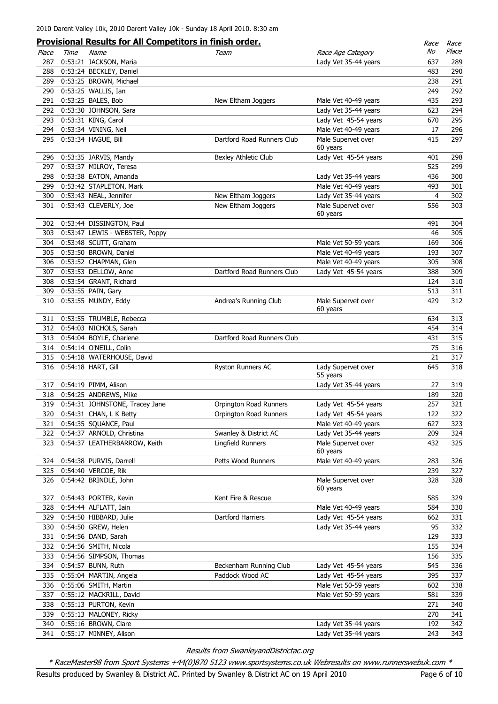|       |      | <b>Provisional Results for All Competitors in finish order.</b> |                            |                                | Race | Race  |
|-------|------|-----------------------------------------------------------------|----------------------------|--------------------------------|------|-------|
| Place | Time | Name                                                            | Team                       | Race Age Category              | No   | Place |
| 287   |      | 0:53:21 JACKSON, Maria                                          |                            | Lady Vet 35-44 years           | 637  | 289   |
| 288   |      | 0:53:24 BECKLEY, Daniel                                         |                            |                                | 483  | 290   |
| 289   |      | 0:53:25 BROWN, Michael                                          |                            |                                | 238  | 291   |
| 290   |      | 0:53:25 WALLIS, Ian                                             |                            |                                | 249  | 292   |
| 291   |      | 0:53:25 BALES, Bob                                              | New Eltham Joggers         | Male Vet 40-49 years           | 435  | 293   |
| 292   |      | 0:53:30 JOHNSON, Sara                                           |                            | Lady Vet 35-44 years           | 623  | 294   |
| 293   |      | 0:53:31 KING, Carol                                             |                            | Lady Vet 45-54 years           | 670  | 295   |
| 294   |      | 0:53:34 VINING, Neil                                            |                            | Male Vet 40-49 years           | 17   | 296   |
| 295   |      | 0:53:34 HAGUE, Bill                                             | Dartford Road Runners Club | Male Supervet over             | 415  | 297   |
|       |      |                                                                 |                            | 60 years                       |      |       |
| 296   |      | 0:53:35 JARVIS, Mandy                                           | Bexley Athletic Club       | Lady Vet 45-54 years           | 401  | 298   |
| 297   |      | 0:53:37 MILROY, Teresa                                          |                            |                                | 525  | 299   |
| 298   |      | 0:53:38 EATON, Amanda                                           |                            | Lady Vet 35-44 years           | 436  | 300   |
| 299   |      | 0:53:42 STAPLETON, Mark                                         |                            | Male Vet 40-49 years           | 493  | 301   |
| 300   |      | 0:53:43 NEAL, Jennifer                                          | New Eltham Joggers         | Lady Vet 35-44 years           | 4    | 302   |
| 301   |      | 0:53:43 CLEVERLY, Joe                                           | New Eltham Joggers         | Male Supervet over             | 556  | 303   |
|       |      |                                                                 |                            | 60 years                       |      |       |
| 302   |      | 0:53:44 DISSINGTON, Paul                                        |                            |                                | 491  | 304   |
| 303   |      | 0:53:47 LEWIS - WEBSTER, Poppy                                  |                            |                                | 46   | 305   |
| 304   |      | 0:53:48 SCUTT, Graham                                           |                            | Male Vet 50-59 years           | 169  | 306   |
| 305   |      | 0:53:50 BROWN, Daniel                                           |                            | Male Vet 40-49 years           | 193  | 307   |
| 306   |      | 0:53:52 CHAPMAN, Glen                                           |                            | Male Vet 40-49 years           | 305  | 308   |
| 307   |      | 0:53:53 DELLOW, Anne                                            | Dartford Road Runners Club | Lady Vet 45-54 years           | 388  | 309   |
| 308   |      | 0:53:54 GRANT, Richard                                          |                            |                                | 124  | 310   |
| 309   |      | 0:53:55 PAIN, Gary                                              |                            |                                | 513  | 311   |
| 310   |      | 0:53:55 MUNDY, Eddy                                             | Andrea's Running Club      | Male Supervet over             | 429  | 312   |
|       |      |                                                                 |                            | 60 years                       |      |       |
| 311   |      | 0:53:55 TRUMBLE, Rebecca                                        |                            |                                | 634  | 313   |
| 312   |      | 0:54:03 NICHOLS, Sarah                                          |                            |                                | 454  | 314   |
| 313   |      | 0:54:04 BOYLE, Charlene                                         | Dartford Road Runners Club |                                | 431  | 315   |
| 314   |      | 0:54:14 O'NEILL, Colin                                          |                            |                                | 75   | 316   |
|       |      |                                                                 |                            |                                | 21   | 317   |
| 315   |      | 0:54:18 WATERHOUSE, David                                       |                            |                                |      |       |
| 316   |      | 0:54:18 HART, Gill                                              | Ryston Runners AC          | Lady Supervet over<br>55 years | 645  | 318   |
| 317   |      | 0:54:19 PIMM, Alison                                            |                            | Lady Vet 35-44 years           | 27   | 319   |
|       |      | 318 0:54:25 ANDREWS, Mike                                       |                            |                                | 189  | 320   |
|       |      |                                                                 |                            |                                |      |       |
| 319   |      | 0:54:31 JOHNSTONE, Tracey Jane                                  | Orpington Road Runners     | Lady Vet 45-54 years           | 257  | 321   |
|       |      | 320 0:54:31 CHAN, L K Betty                                     | Orpington Road Runners     | Lady Vet 45-54 years           | 122  | 322   |
| 321   |      | 0:54:35 SQUANCE, Paul                                           |                            | Male Vet 40-49 years           | 627  | 323   |
| 322   |      | 0:54:37 ARNOLD, Christina                                       | Swanley & District AC      | Lady Vet 35-44 years           | 209  | 324   |
| 323   |      | 0:54:37 LEATHERBARROW, Keith                                    | Lingfield Runners          | Male Supervet over             | 432  | 325   |
|       |      |                                                                 |                            | 60 years                       |      |       |
| 324   |      | 0:54:38 PURVIS, Darrell                                         | Petts Wood Runners         | Male Vet 40-49 years           | 283  | 326   |
| 325   |      | 0:54:40 VERCOE, Rik                                             |                            |                                | 239  | 327   |
| 326   |      | 0:54:42 BRINDLE, John                                           |                            | Male Supervet over             | 328  | 328   |
|       |      |                                                                 |                            | 60 years                       |      |       |
| 327   |      | 0:54:43 PORTER, Kevin                                           | Kent Fire & Rescue         |                                | 585  | 329   |
| 328   |      | 0:54:44 ALFLATT, Iain                                           |                            | Male Vet 40-49 years           | 584  | 330   |
| 329   |      | 0:54:50 HIBBARD, Julie                                          | Dartford Harriers          | Lady Vet 45-54 years           | 662  | 331   |
| 330   |      | 0:54:50 GREW, Helen                                             |                            | Lady Vet 35-44 years           | 95   | 332   |
| 331   |      | 0:54:56 DAND, Sarah                                             |                            |                                | 129  | 333   |
| 332   |      | 0:54:56 SMITH, Nicola                                           |                            |                                | 155  | 334   |
| 333   |      | 0:54:56 SIMPSON, Thomas                                         |                            |                                | 156  | 335   |
| 334   |      | 0:54:57 BUNN, Ruth                                              | Beckenham Running Club     | Lady Vet 45-54 years           | 545  | 336   |
| 335   |      | 0:55:04 MARTIN, Angela                                          | Paddock Wood AC            | Lady Vet 45-54 years           | 395  | 337   |
| 336   |      | 0:55:06 SMITH, Martin                                           |                            | Male Vet 50-59 years           | 602  | 338   |
| 337   |      | 0:55:12 MACKRILL, David                                         |                            | Male Vet 50-59 years           | 581  | 339   |
| 338   |      | 0:55:13 PURTON, Kevin                                           |                            |                                | 271  | 340   |
| 339   |      | 0:55:13 MALONEY, Ricky                                          |                            |                                | 270  | 341   |
| 340   |      | 0:55:16 BROWN, Clare                                            |                            | Lady Vet 35-44 years           | 192  | 342   |
| 341   |      | 0:55:17 MINNEY, Alison                                          |                            | Lady Vet 35-44 years           | 243  | 343   |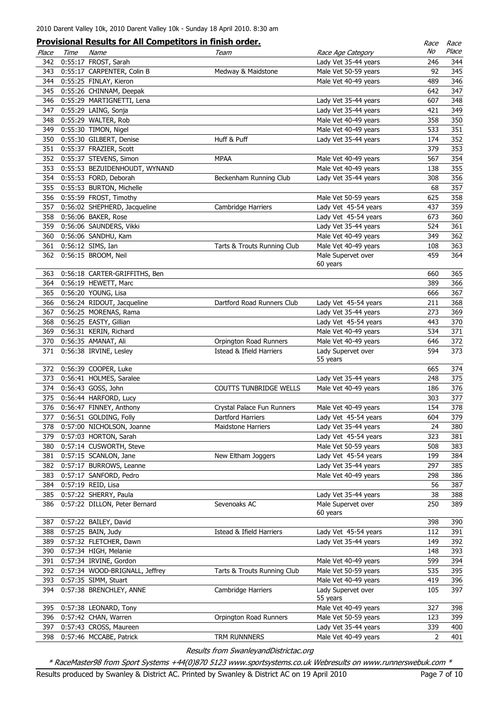|       |      | <b>Provisional Results for All Competitors in finish order.</b> |                             |                                | Race | Race  |
|-------|------|-----------------------------------------------------------------|-----------------------------|--------------------------------|------|-------|
| Place | Time | Name                                                            | Team                        | Race Age Category              | No   | Place |
| 342   |      | 0:55:17 FROST, Sarah                                            |                             | Lady Vet 35-44 years           | 246  | 344   |
| 343   |      | 0:55:17 CARPENTER, Colin B                                      | Medway & Maidstone          | Male Vet 50-59 years           | 92   | 345   |
| 344   |      | 0:55:25 FINLAY, Kieron                                          |                             | Male Vet 40-49 years           | 489  | 346   |
| 345   |      | 0:55:26 CHINNAM, Deepak                                         |                             |                                | 642  | 347   |
| 346   |      | 0:55:29 MARTIGNETTI, Lena                                       |                             | Lady Vet 35-44 years           | 607  | 348   |
| 347   |      | 0:55:29 LAING, Sonja                                            |                             | Lady Vet 35-44 years           | 421  | 349   |
| 348   |      | 0:55:29 WALTER, Rob                                             |                             | Male Vet 40-49 years           | 358  | 350   |
| 349   |      | 0:55:30 TIMON, Nigel                                            |                             | Male Vet 40-49 years           | 533  | 351   |
| 350   |      | 0:55:30 GILBERT, Denise                                         | Huff & Puff                 | Lady Vet 35-44 years           | 174  | 352   |
| 351   |      | 0:55:37 FRAZIER, Scott                                          |                             |                                | 379  | 353   |
| 352   |      | 0:55:37 STEVENS, Simon                                          | MPAA                        | Male Vet 40-49 years           | 567  | 354   |
| 353   |      | 0:55:53 BEZUIDENHOUDT, WYNAND                                   |                             | Male Vet 40-49 years           | 138  | 355   |
| 354   |      | 0:55:53 FORD, Deborah                                           | Beckenham Running Club      | Lady Vet 35-44 years           | 308  | 356   |
| 355   |      | 0:55:53 BURTON, Michelle                                        |                             |                                | 68   | 357   |
| 356   |      | 0:55:59 FROST, Timothy                                          |                             | Male Vet 50-59 years           | 625  | 358   |
| 357   |      | 0:56:02 SHEPHERD, Jacqueline                                    | Cambridge Harriers          | Lady Vet 45-54 years           | 437  | 359   |
| 358   |      | 0:56:06 BAKER, Rose                                             |                             | Lady Vet 45-54 years           | 673  | 360   |
| 359   |      | 0:56:06 SAUNDERS, Vikki                                         |                             | Lady Vet 35-44 years           | 524  | 361   |
| 360   |      | 0:56:06 SANDHU, Kam                                             |                             | Male Vet 40-49 years           | 349  | 362   |
| 361   |      | 0:56:12 SIMS, Ian                                               | Tarts & Trouts Running Club | Male Vet 40-49 years           | 108  | 363   |
| 362   |      | 0:56:15 BROOM, Neil                                             |                             | Male Supervet over             | 459  | 364   |
|       |      |                                                                 |                             | 60 years                       |      |       |
| 363   |      | 0:56:18 CARTER-GRIFFITHS, Ben                                   |                             |                                | 660  | 365   |
| 364   |      | 0:56:19 HEWETT, Marc                                            |                             |                                | 389  | 366   |
| 365   |      | 0:56:20 YOUNG, Lisa                                             |                             |                                | 666  | 367   |
| 366   |      | 0:56:24 RIDOUT, Jacqueline                                      | Dartford Road Runners Club  | Lady Vet 45-54 years           | 211  | 368   |
| 367   |      | 0:56:25 MORENAS, Rama                                           |                             | Lady Vet 35-44 years           | 273  | 369   |
| 368   |      | 0:56:25 EASTY, Gillian                                          |                             | Lady Vet 45-54 years           | 443  | 370   |
| 369   |      | 0:56:31 KERIN, Richard                                          |                             | Male Vet 40-49 years           | 534  | 371   |
| 370   |      | 0:56:35 AMANAT, Ali                                             | Orpington Road Runners      | Male Vet 40-49 years           | 646  | 372   |
| 371   |      | 0:56:38 IRVINE, Lesley                                          | Istead & Ifield Harriers    | Lady Supervet over             | 594  | 373   |
|       |      |                                                                 |                             | 55 years                       |      |       |
| 372   |      | 0:56:39 COOPER, Luke                                            |                             |                                | 665  | 374   |
| 373   |      | 0:56:41 HOLMES, Saralee                                         |                             | Lady Vet 35-44 years           | 248  | 375   |
| 374   |      | 0:56:43 GOSS, John                                              | COUTTS TUNBRIDGE WELLS      | Male Vet 40-49 years           | 186  | 376   |
| 375   |      | 0:56:44 HARFORD, Lucy                                           |                             |                                | 303  | 377   |
| 376   |      | 0:56:47 FINNEY, Anthony                                         | Crystal Palace Fun Runners  | Male Vet 40-49 years           | 154  | 378   |
| 377   |      | 0:56:51 GOLDING, Folly                                          | Dartford Harriers           | Lady Vet 45-54 years           | 604  | 379   |
| 378   |      | 0:57:00 NICHOLSON, Joanne                                       | <b>Maidstone Harriers</b>   | Lady Vet 35-44 years           | 24   | 380   |
| 379   |      | 0:57:03 HORTON, Sarah                                           |                             | Lady Vet 45-54 years           | 323  | 381   |
| 380   |      | 0:57:14 CUSWORTH, Steve                                         |                             | Male Vet 50-59 years           | 508  | 383   |
| 381   |      | 0:57:15 SCANLON, Jane                                           | New Eltham Joggers          | Lady Vet 45-54 years           | 199  | 384   |
| 382   |      | 0:57:17 BURROWS, Leanne                                         |                             | Lady Vet 35-44 years           | 297  | 385   |
| 383   |      | 0:57:17 SANFORD, Pedro                                          |                             | Male Vet 40-49 years           | 298  | 386   |
| 384   |      | 0:57:19 REID, Lisa                                              |                             |                                | 56   | 387   |
| 385   |      | 0:57:22 SHERRY, Paula                                           |                             | Lady Vet 35-44 years           | 38   | 388   |
| 386   |      | 0:57:22 DILLON, Peter Bernard                                   | Sevenoaks AC                | Male Supervet over             | 250  | 389   |
|       |      |                                                                 |                             | 60 years                       |      |       |
| 387   |      | 0:57:22 BAILEY, David                                           |                             |                                | 398  | 390   |
| 388   |      | 0:57:25 BAIN, Judy                                              | Istead & Ifield Harriers    | Lady Vet 45-54 years           | 112  | 391   |
| 389   |      | 0:57:32 FLETCHER, Dawn                                          |                             | Lady Vet 35-44 years           | 149  | 392   |
| 390   |      | 0:57:34 HIGH, Melanie                                           |                             |                                | 148  | 393   |
| 391   |      | 0:57:34 IRVINE, Gordon                                          |                             | Male Vet 40-49 years           | 599  | 394   |
| 392   |      | 0:57:34 WOOD-BRIGNALL, Jeffrey                                  |                             |                                | 535  | 395   |
|       |      |                                                                 | Tarts & Trouts Running Club | Male Vet 50-59 years           | 419  | 396   |
| 393   |      | 0:57:35 SIMM, Stuart                                            |                             | Male Vet 40-49 years           |      | 397   |
| 394   |      | 0:57:38 BRENCHLEY, ANNE                                         | Cambridge Harriers          | Lady Supervet over<br>55 years | 105  |       |
| 395   |      | 0:57:38 LEONARD, Tony                                           |                             | Male Vet 40-49 years           | 327  | 398   |
| 396   |      | 0:57:42 CHAN, Warren                                            | Orpington Road Runners      | Male Vet 50-59 years           | 123  | 399   |
| 397   |      | 0:57:43 CROSS, Maureen                                          |                             | Lady Vet 35-44 years           | 339  | 400   |
| 398   |      | 0:57:46 MCCABE, Patrick                                         | TRM RUNNNERS                | Male Vet 40-49 years           | 2    | 401   |
|       |      |                                                                 |                             |                                |      |       |

\* RaceMaster98 from Sport Systems +44(0)870 5123 www.sportsystems.co.uk Webresults on www.runnerswebuk.com \*

Results produced by Swanley & District AC. Printed by Swanley & District AC on 19 April 2010 Page 7 of 10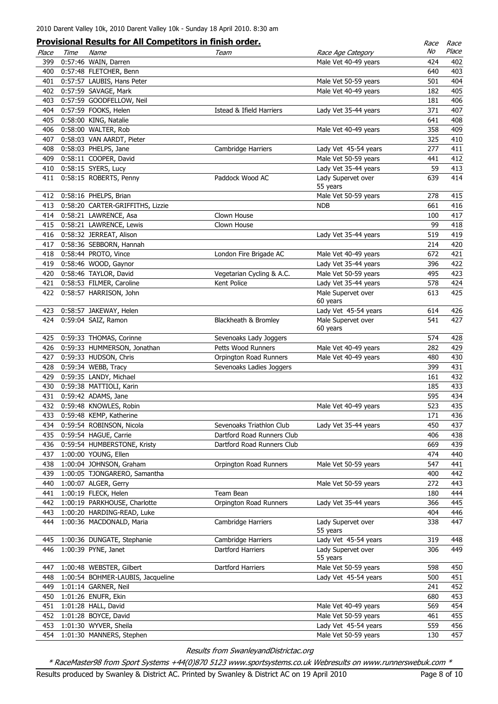|       |      | <u>Provisional Results for All Competitors in finish order.</u> |                                     |                                | Race | Race  |
|-------|------|-----------------------------------------------------------------|-------------------------------------|--------------------------------|------|-------|
| Place | Time | Name                                                            | Team                                | Race Age Category              | No   | Place |
| 399   |      | 0:57:46 WAIN, Darren                                            |                                     | Male Vet 40-49 years           | 424  | 402   |
| 400   |      | 0:57:48 FLETCHER, Benn                                          |                                     |                                | 640  | 403   |
| 401   |      | 0:57:57 LAUBIS, Hans Peter                                      |                                     | Male Vet 50-59 years           | 501  | 404   |
| 402   |      | 0:57:59 SAVAGE, Mark                                            |                                     | Male Vet 40-49 years           | 182  | 405   |
| 403   |      | 0:57:59 GOODFELLOW, Neil                                        |                                     |                                | 181  | 406   |
| 404   |      | 0:57:59 FOOKS, Helen                                            | <b>Istead &amp; Ifield Harriers</b> | Lady Vet 35-44 years           | 371  | 407   |
|       |      |                                                                 |                                     |                                | 641  | 408   |
| 405   |      | 0:58:00 KING, Natalie                                           |                                     |                                |      |       |
|       |      | 406 0:58:00 WALTER, Rob                                         |                                     | Male Vet 40-49 years           | 358  | 409   |
| 407   |      | 0:58:03 VAN AARDT, Pieter                                       |                                     |                                | 325  | 410   |
|       |      | 408 0:58:03 PHELPS, Jane                                        | Cambridge Harriers                  | Lady Vet 45-54 years           | 277  | 411   |
|       |      | 409 0:58:11 COOPER, David                                       |                                     | Male Vet 50-59 years           | 441  | 412   |
|       |      | 410 0:58:15 SYERS, Lucy                                         |                                     | Lady Vet 35-44 years           | 59   | 413   |
|       |      | 411 0:58:15 ROBERTS, Penny                                      | Paddock Wood AC                     | Lady Supervet over<br>55 years | 639  | 414   |
|       |      | 412 0:58:16 PHELPS, Brian                                       |                                     | Male Vet 50-59 years           | 278  | 415   |
| 413   |      | 0:58:20 CARTER-GRIFFITHS, Lizzie                                |                                     | NDB                            | 661  | 416   |
|       |      | 414 0:58:21 LAWRENCE, Asa                                       | Clown House                         |                                | 100  | 417   |
|       |      | 415 0:58:21 LAWRENCE, Lewis                                     | Clown House                         |                                | 99   | 418   |
|       |      | 416 0:58:32 JERREAT, Alison                                     |                                     | Lady Vet 35-44 years           | 519  | 419   |
|       |      | 417 0:58:36 SEBBORN, Hannah                                     |                                     |                                | 214  | 420   |
|       |      |                                                                 |                                     |                                |      |       |
|       |      | 418 0:58:44 PROTO, Vince                                        | London Fire Brigade AC              | Male Vet 40-49 years           | 672  | 421   |
|       |      | 419 0:58:46 WOOD, Gaynor                                        |                                     | Lady Vet 35-44 years           | 396  | 422   |
|       |      | 420 0:58:46 TAYLOR, David                                       | Vegetarian Cycling & A.C.           | Male Vet 50-59 years           | 495  | 423   |
|       |      | 421 0:58:53 FILMER, Caroline                                    | Kent Police                         | Lady Vet 35-44 years           | 578  | 424   |
| 422   |      | 0:58:57 HARRISON, John                                          |                                     | Male Supervet over             | 613  | 425   |
|       |      |                                                                 |                                     | 60 years                       |      |       |
|       |      | 423 0:58:57 JAKEWAY, Helen                                      |                                     | Lady Vet 45-54 years           | 614  | 426   |
| 424   |      | 0:59:04 SAIZ, Ramon                                             | Blackheath & Bromley                | Male Supervet over             | 541  | 427   |
|       |      |                                                                 |                                     | 60 years                       |      |       |
|       |      | 425 0:59:33 THOMAS, Corinne                                     | Sevenoaks Lady Joggers              |                                | 574  | 428   |
|       |      | 426 0:59:33 HUMMERSON, Jonathan                                 | Petts Wood Runners                  | Male Vet 40-49 years           | 282  | 429   |
| 427   |      | 0:59:33 HUDSON, Chris                                           | Orpington Road Runners              | Male Vet 40-49 years           | 480  | 430   |
| 428   |      | 0:59:34 WEBB, Tracy                                             | Sevenoaks Ladies Joggers            |                                | 399  | 431   |
| 429   |      | 0:59:35 LANDY, Michael                                          |                                     |                                | 161  | 432   |
| 430   |      | 0:59:38 MATTIOLI, Karin                                         |                                     |                                | 185  | 433   |
| 431   |      | 0:59:42 ADAMS, Jane                                             |                                     |                                | 595  | 434   |
|       |      | 432 0:59:48 KNOWLES, Robin                                      |                                     | Male Vet 40-49 years           | 523  | 435   |
| 433   |      | 0:59:48 KEMP, Katherine                                         |                                     |                                | 171  | 436   |
| 434   |      | 0:59:54 ROBINSON, Nicola                                        | Sevenoaks Triathlon Club            | Lady Vet 35-44 years           | 450  | 437   |
| 435   |      | 0:59:54 HAGUE, Carrie                                           | Dartford Road Runners Club          |                                | 406  | 438   |
| 436   |      | 0:59:54 HUMBERSTONE, Kristy                                     | Dartford Road Runners Club          |                                | 669  | 439   |
| 437   |      | 1:00:00 YOUNG, Ellen                                            |                                     |                                | 474  | 440   |
| 438   |      | 1:00:04 JOHNSON, Graham                                         | Orpington Road Runners              | Male Vet 50-59 years           | 547  | 441   |
| 439   |      | 1:00:05 TJONGARERO, Samantha                                    |                                     |                                | 400  | 442   |
| 440   |      | 1:00:07 ALGER, Gerry                                            |                                     | Male Vet 50-59 years           | 272  | 443   |
| 441   |      | 1:00:19 FLECK, Helen                                            | Team Bean                           |                                | 180  | 444   |
|       |      |                                                                 |                                     |                                |      |       |
| 442   |      | 1:00:19 PARKHOUSE, Charlotte                                    | Orpington Road Runners              | Lady Vet 35-44 years           | 366  | 445   |
| 443   |      | 1:00:20 HARDING-READ, Luke                                      |                                     |                                | 404  | 446   |
| 444   |      | 1:00:36 MACDONALD, Maria                                        | Cambridge Harriers                  | Lady Supervet over<br>55 years | 338  | 447   |
| 445   |      | 1:00:36 DUNGATE, Stephanie                                      | Cambridge Harriers                  | Lady Vet 45-54 years           | 319  | 448   |
| 446   |      | 1:00:39 PYNE, Janet                                             | Dartford Harriers                   | Lady Supervet over<br>55 years | 306  | 449   |
| 447   |      | 1:00:48 WEBSTER, Gilbert                                        | Dartford Harriers                   | Male Vet 50-59 years           | 598  | 450   |
| 448   |      | 1:00:54 BOHMER-LAUBIS, Jacqueline                               |                                     | Lady Vet 45-54 years           | 500  | 451   |
| 449   |      | 1:01:14 GARNER, Neil                                            |                                     |                                | 241  | 452   |
| 450   |      | 1:01:26 ENUFR, Ekin                                             |                                     |                                | 680  | 453   |
|       |      |                                                                 |                                     |                                |      |       |
| 451   |      | 1:01:28 HALL, David                                             |                                     | Male Vet 40-49 years           | 569  | 454   |
| 452   |      | 1:01:28 BOYCE, David                                            |                                     | Male Vet 50-59 years           | 461  | 455   |
| 453   |      | 1:01:30 WYVER, Sheila                                           |                                     | Lady Vet 45-54 years           | 559  | 456   |
| 454   |      | 1:01:30 MANNERS, Stephen                                        |                                     | Male Vet 50-59 years           | 130  | 457   |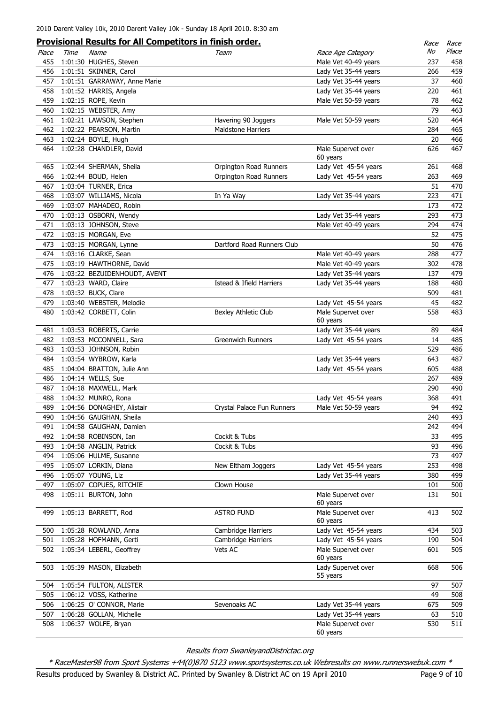|       |      | <b>Provisional Results for All Competitors in finish order.</b> |                            |                                | Race | Race       |
|-------|------|-----------------------------------------------------------------|----------------------------|--------------------------------|------|------------|
| Place | Time | Name                                                            | Team                       | Race Age Category              | No   | Place      |
| 455   |      | 1:01:30 HUGHES, Steven                                          |                            | Male Vet 40-49 years           | 237  | 458        |
| 456   |      | 1:01:51 SKINNER, Carol                                          |                            | Lady Vet 35-44 years           | 266  | 459        |
| 457   |      | 1:01:51 GARRAWAY, Anne Marie                                    |                            | Lady Vet 35-44 years           | 37   | 460        |
| 458   |      | 1:01:52 HARRIS, Angela                                          |                            | Lady Vet 35-44 years           | 220  | 461        |
| 459   |      | 1:02:15 ROPE, Kevin                                             |                            | Male Vet 50-59 years           | 78   | 462        |
| 460   |      | 1:02:15 WEBSTER, Amy                                            |                            |                                | 79   | 463        |
| 461   |      | 1:02:21 LAWSON, Stephen                                         | Havering 90 Joggers        | Male Vet 50-59 years           | 520  | 464        |
| 462   |      | 1:02:22 PEARSON, Martin                                         | <b>Maidstone Harriers</b>  |                                | 284  | 465        |
| 463   |      | 1:02:24 BOYLE, Hugh                                             |                            |                                | 20   | 466        |
| 464   |      | 1:02:28 CHANDLER, David                                         |                            | Male Supervet over<br>60 years | 626  | 467        |
| 465   |      | 1:02:44 SHERMAN, Sheila                                         | Orpington Road Runners     | Lady Vet 45-54 years           | 261  | 468        |
| 466   |      | 1:02:44 BOUD, Helen                                             | Orpington Road Runners     | Lady Vet 45-54 years           | 263  | 469        |
| 467   |      | 1:03:04 TURNER, Erica                                           |                            |                                | 51   | 470        |
| 468   |      | 1:03:07 WILLIAMS, Nicola                                        | In Ya Way                  | Lady Vet 35-44 years           | 223  | 471        |
| 469   |      | 1:03:07 MAHADEO, Robin                                          |                            |                                | 173  | 472        |
| 470   |      | 1:03:13 OSBORN, Wendy                                           |                            | Lady Vet 35-44 years           | 293  | 473        |
| 471   |      | 1:03:13 JOHNSON, Steve                                          |                            | Male Vet 40-49 years           | 294  | 474        |
| 472   |      | 1:03:15 MORGAN, Eve                                             |                            |                                | 52   | 475        |
| 473   |      | 1:03:15 MORGAN, Lynne                                           | Dartford Road Runners Club |                                | 50   | 476        |
| 474   |      | 1:03:16 CLARKE, Sean                                            |                            | Male Vet 40-49 years           | 288  | 477        |
| 475   |      | 1:03:19 HAWTHORNE, David                                        |                            | Male Vet 40-49 years           | 302  | 478        |
| 476   |      | 1:03:22 BEZUIDENHOUDT, AVENT                                    |                            | Lady Vet 35-44 years           | 137  | 479        |
| 477   |      | 1:03:23 WARD, Claire                                            | Istead & Ifield Harriers   | Lady Vet 35-44 years           | 188  | 480        |
| 478   |      | 1:03:32 BUCK, Clare                                             |                            |                                | 509  | 481        |
| 479   |      | 1:03:40 WEBSTER, Melodie                                        |                            | Lady Vet 45-54 years           | 45   | 482        |
| 480   |      | 1:03:42 CORBETT, Colin                                          | Bexley Athletic Club       | Male Supervet over<br>60 years | 558  | 483        |
| 481   |      | 1:03:53 ROBERTS, Carrie                                         |                            | Lady Vet 35-44 years           | 89   | 484        |
| 482   |      | 1:03:53 MCCONNELL, Sara                                         | Greenwich Runners          | Lady Vet 45-54 years           | 14   | 485        |
| 483   |      | 1:03:53 JOHNSON, Robin                                          |                            |                                | 529  | 486        |
| 484   |      | 1:03:54 WYBROW, Karla                                           |                            | Lady Vet 35-44 years           | 643  | 487        |
| 485   |      | 1:04:04 BRATTON, Julie Ann                                      |                            | Lady Vet 45-54 years           | 605  | 488        |
| 486   |      | 1:04:14 WELLS, Sue                                              |                            |                                | 267  | 489        |
| 487   |      | 1:04:18 MAXWELL, Mark                                           |                            |                                | 290  | 490        |
| 488   |      | 1:04:32 MUNRO, Rona                                             |                            | Lady Vet 45-54 years           | 368  | 491        |
| 489   |      | 1:04:56 DONAGHEY, Alistair                                      | Crystal Palace Fun Runners | Male Vet 50-59 years           | 94   | 492        |
| 490   |      | 1:04:56 GAUGHAN, Sheila                                         |                            |                                | 240  | 493        |
| 491   |      | 1:04:58 GAUGHAN, Damien                                         |                            |                                | 242  | 494        |
| 492   |      | 1:04:58 ROBINSON, Ian                                           | Cockit & Tubs              |                                | 33   | 495        |
| 493   |      | 1:04:58 ANGLIN, Patrick                                         | Cockit & Tubs              |                                | 93   | 496        |
| 494   |      | 1:05:06 HULME, Susanne                                          |                            |                                | 73   | 497        |
| 495   |      | 1:05:07 LORKIN, Diana                                           | New Eltham Joggers         | Lady Vet 45-54 years           | 253  | 498        |
| 496   |      | 1:05:07 YOUNG, Liz                                              |                            | Lady Vet 35-44 years           | 380  | 499        |
|       |      | 1:05:07 COPUES, RITCHIE                                         |                            |                                |      |            |
| 497   |      | 1:05:11 BURTON, John                                            | Clown House                |                                | 101  | 500<br>501 |
| 498   |      |                                                                 |                            | Male Supervet over<br>60 years | 131  |            |
| 499   |      | 1:05:13 BARRETT, Rod                                            | <b>ASTRO FUND</b>          | Male Supervet over<br>60 years | 413  | 502        |
| 500   |      | 1:05:28 ROWLAND, Anna                                           | Cambridge Harriers         | Lady Vet 45-54 years           | 434  | 503        |
| 501   |      | 1:05:28 HOFMANN, Gerti                                          | Cambridge Harriers         | Lady Vet 45-54 years           | 190  | 504        |
| 502   |      | 1:05:34 LEBERL, Geoffrey                                        | Vets AC                    | Male Supervet over<br>60 years | 601  | 505        |
| 503   |      | 1:05:39 MASON, Elizabeth                                        |                            | Lady Supervet over<br>55 years | 668  | 506        |
| 504   |      | 1:05:54 FULTON, ALISTER                                         |                            |                                | 97   | 507        |
| 505   |      | 1:06:12 VOSS, Katherine                                         |                            |                                | 49   | 508        |
| 506   |      | 1:06:25 O' CONNOR, Marie                                        | Sevenoaks AC               | Lady Vet 35-44 years           | 675  | 509        |
| 507   |      | 1:06:28 GOLLAN, Michelle                                        |                            | Lady Vet 35-44 years           | 63   | 510        |
| 508   |      | 1:06:37 WOLFE, Bryan                                            |                            | Male Supervet over<br>60 years | 530  | 511        |